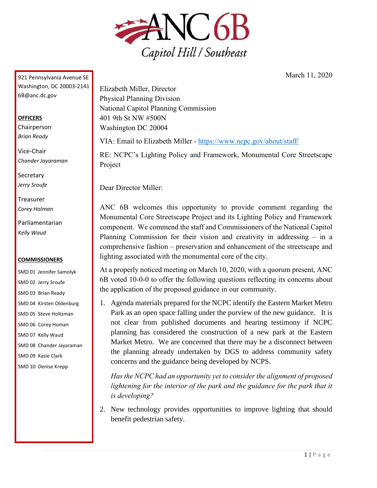

March 11, 2020

921 Pennsylvania Avenue SE Washington, DC 20003-2141 6B@anc.dc.gov

## **OFFICERS**

Chairperson *Brian Ready*

Vice-Chair *Chander Jayaraman*

**Secretary** *Jerry Sroufe*

Treasurer *Corey Holman*

Parliamentarian *Kelly Waud*

## **COMMISSIONERS**

SMD 01 Jennifer Samolyk SMD 02 Jerry Sroufe SMD 03 Brian Ready SMD 04 Kirsten Oldenburg SMD 05 Steve Holtzman SMD 06 Corey Homan SMD 07 Kelly Waud SMD 08 Chander Jayaraman SMD 09 Kasie Clark SMD 10 Denise Krepp

Elizabeth Miller, Director Physical Planning Division National Capitol Planning Commission 401 9th St NW #500N Washington DC 20004

VIA: Email to Elizabeth Miller - <https://www.ncpc.gov/about/staff/>

RE: NCPC's Lighting Policy and Framework, Monumental Core Streetscape Project

Dear Director Miller:

ANC 6B welcomes this opportunity to provide comment regarding the Monumental Core Streetscape Project and its Lighting Policy and Framework component. We commend the staff and Commissioners of the National Capitol Planning Commission for their vision and creativity in addressing – in a comprehensive fashion – preservation and enhancement of the streetscape and lighting associated with the monumental core of the city.

At a properly noticed meeting on March 10, 2020, with a quorum present, ANC 6B voted 10-0-0 to offer the following questions reflecting its concerns about the application of the proposed guidance in our community.

1. Agenda materials prepared for the NCPC identify the Eastern Market Metro Park as an open space falling under the purview of the new guidance. It is not clear from published documents and hearing testimony if NCPC planning has considered the construction of a new park at the Eastern Market Metro. We are concerned that there may be a disconnect between the planning already undertaken by DGS to address community safety concerns and the guidance being developed by NCPS.

*Has the NCPC had an opportunity yet to consider the alignment of proposed lightening for the interior of the park and the guidance for the park that it is developing?*

2. New technology provides opportunities to improve lighting that should benefit pedestrian safety.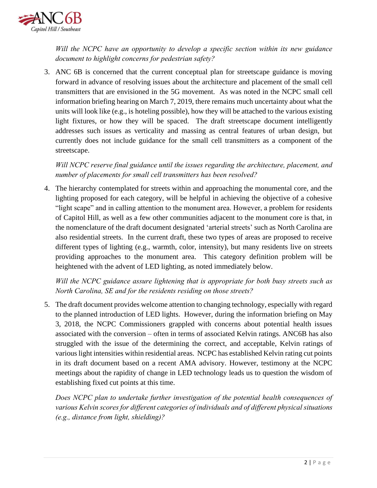

*Will the NCPC have an opportunity to develop a specific section within its new guidance document to highlight concerns for pedestrian safety?*

3. ANC 6B is concerned that the current conceptual plan for streetscape guidance is moving forward in advance of resolving issues about the architecture and placement of the small cell transmitters that are envisioned in the 5G movement. As was noted in the NCPC small cell information briefing hearing on March 7, 2019, there remains much uncertainty about what the units will look like (e.g., is hoteling possible), how they will be attached to the various existing light fixtures, or how they will be spaced. The draft streetscape document intelligently addresses such issues as verticality and massing as central features of urban design, but currently does not include guidance for the small cell transmitters as a component of the streetscape.

*Will NCPC reserve final guidance until the issues regarding the architecture, placement, and number of placements for small cell transmitters has been resolved?*

4. The hierarchy contemplated for streets within and approaching the monumental core, and the lighting proposed for each category, will be helpful in achieving the objective of a cohesive "light scape" and in calling attention to the monument area. However, a problem for residents of Capitol Hill, as well as a few other communities adjacent to the monument core is that, in the nomenclature of the draft document designated 'arterial streets' such as North Carolina are also residential streets. In the current draft, these two types of areas are proposed to receive different types of lighting (e.g., warmth, color, intensity), but many residents live on streets providing approaches to the monument area. This category definition problem will be heightened with the advent of LED lighting, as noted immediately below.

*Will the NCPC guidance assure lightening that is appropriate for both busy streets such as North Carolina, SE and for the residents residing on those streets?*

5. The draft document provides welcome attention to changing technology, especially with regard to the planned introduction of LED lights. However, during the information briefing on May 3, 2018, the NCPC Commissioners grappled with concerns about potential health issues associated with the conversion – often in terms of associated Kelvin ratings. ANC6B has also struggled with the issue of the determining the correct, and acceptable, Kelvin ratings of various light intensities within residential areas. NCPC has established Kelvin rating cut points in its draft document based on a recent AMA advisory. However, testimony at the NCPC meetings about the rapidity of change in LED technology leads us to question the wisdom of establishing fixed cut points at this time.

*Does NCPC plan to undertake further investigation of the potential health consequences of various Kelvin scores for different categories of individuals and of different physical situations (e.g., distance from light, shielding)?*